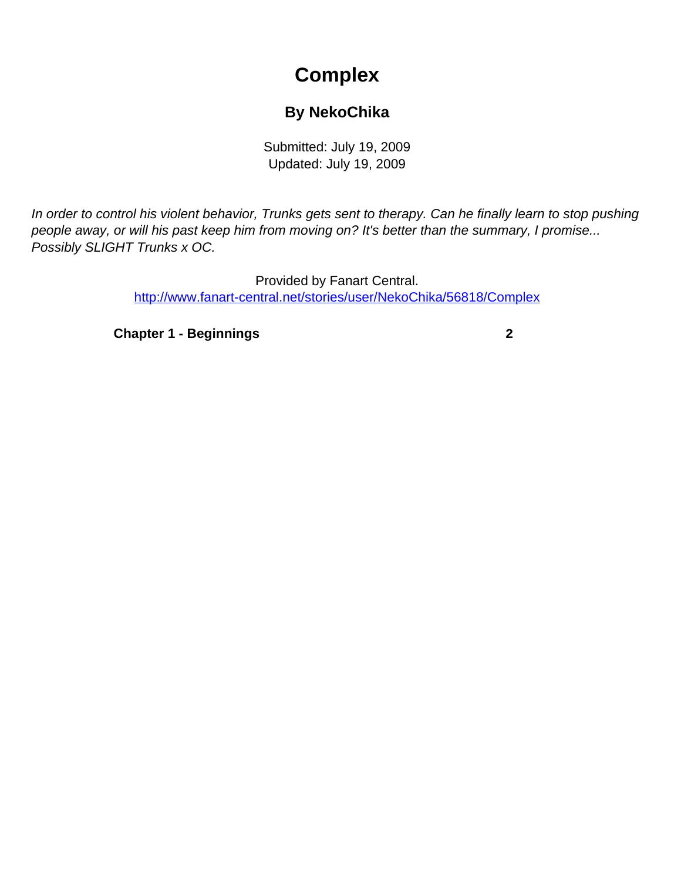## **Complex**

## **By NekoChika**

Submitted: July 19, 2009 Updated: July 19, 2009

<span id="page-0-0"></span>In order to control his violent behavior, Trunks gets sent to therapy. Can he finally learn to stop pushing people away, or will his past keep him from moving on? It's better than the summary, I promise... Possibly SLIGHT Trunks x OC.

> Provided by Fanart Central. [http://www.fanart-central.net/stories/user/NekoChika/56818/Complex](#page-0-0)

**[Chapter 1 - Beginnings](#page-1-0) [2](#page-1-0)**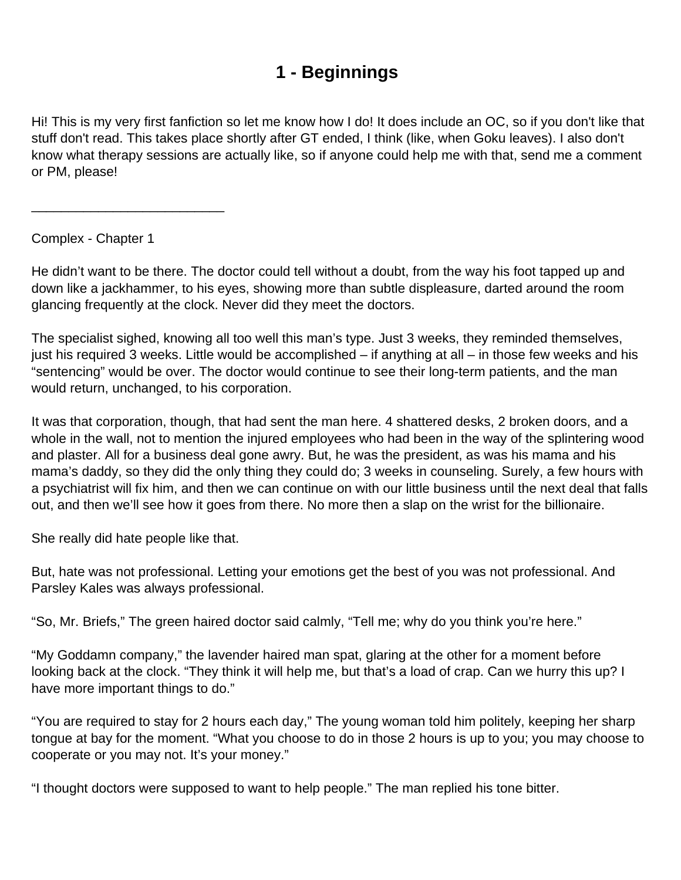## **1 - Beginnings**

<span id="page-1-0"></span>Hi! This is my very first fanfiction so let me know how I do! It does include an OC, so if you don't like that stuff don't read. This takes place shortly after GT ended, I think (like, when Goku leaves). I also don't know what therapy sessions are actually like, so if anyone could help me with that, send me a comment or PM, please!

Complex - Chapter 1

\_\_\_\_\_\_\_\_\_\_\_\_\_\_\_\_\_\_\_\_\_\_\_\_\_\_

He didn't want to be there. The doctor could tell without a doubt, from the way his foot tapped up and down like a jackhammer, to his eyes, showing more than subtle displeasure, darted around the room glancing frequently at the clock. Never did they meet the doctors.

The specialist sighed, knowing all too well this man's type. Just 3 weeks, they reminded themselves, just his required 3 weeks. Little would be accomplished – if anything at all – in those few weeks and his "sentencing" would be over. The doctor would continue to see their long-term patients, and the man would return, unchanged, to his corporation.

It was that corporation, though, that had sent the man here. 4 shattered desks, 2 broken doors, and a whole in the wall, not to mention the injured employees who had been in the way of the splintering wood and plaster. All for a business deal gone awry. But, he was the president, as was his mama and his mama's daddy, so they did the only thing they could do; 3 weeks in counseling. Surely, a few hours with a psychiatrist will fix him, and then we can continue on with our little business until the next deal that falls out, and then we'll see how it goes from there. No more then a slap on the wrist for the billionaire.

She really did hate people like that.

But, hate was not professional. Letting your emotions get the best of you was not professional. And Parsley Kales was always professional.

"So, Mr. Briefs," The green haired doctor said calmly, "Tell me; why do you think you're here."

"My Goddamn company," the lavender haired man spat, glaring at the other for a moment before looking back at the clock. "They think it will help me, but that's a load of crap. Can we hurry this up? I have more important things to do."

"You are required to stay for 2 hours each day," The young woman told him politely, keeping her sharp tongue at bay for the moment. "What you choose to do in those 2 hours is up to you; you may choose to cooperate or you may not. It's your money."

"I thought doctors were supposed to want to help people." The man replied his tone bitter.